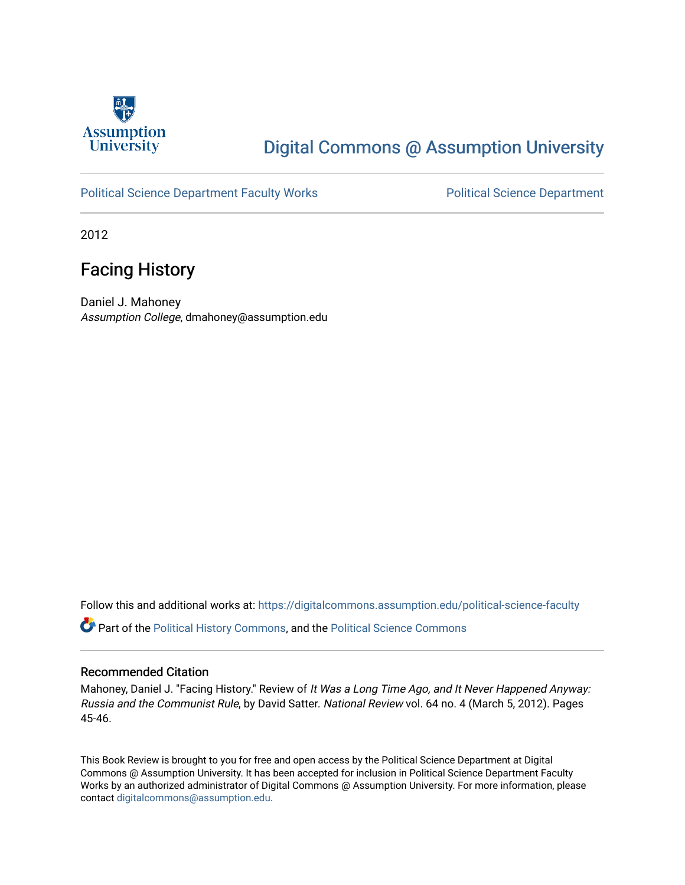

## [Digital Commons @ Assumption University](https://digitalcommons.assumption.edu/)

### [Political Science Department Faculty Works](https://digitalcommons.assumption.edu/political-science-faculty) **Political Science Department**

2012

### Facing History

Daniel J. Mahoney Assumption College, dmahoney@assumption.edu

Follow this and additional works at: [https://digitalcommons.assumption.edu/political-science-faculty](https://digitalcommons.assumption.edu/political-science-faculty?utm_source=digitalcommons.assumption.edu%2Fpolitical-science-faculty%2F3&utm_medium=PDF&utm_campaign=PDFCoverPages)

Part of the [Political History Commons,](http://network.bepress.com/hgg/discipline/505?utm_source=digitalcommons.assumption.edu%2Fpolitical-science-faculty%2F3&utm_medium=PDF&utm_campaign=PDFCoverPages) and the [Political Science Commons](http://network.bepress.com/hgg/discipline/386?utm_source=digitalcommons.assumption.edu%2Fpolitical-science-faculty%2F3&utm_medium=PDF&utm_campaign=PDFCoverPages)

### Recommended Citation

Mahoney, Daniel J. "Facing History." Review of It Was a Long Time Ago, and It Never Happened Anyway: Russia and the Communist Rule, by David Satter. National Review vol. 64 no. 4 (March 5, 2012). Pages 45-46.

This Book Review is brought to you for free and open access by the Political Science Department at Digital Commons @ Assumption University. It has been accepted for inclusion in Political Science Department Faculty Works by an authorized administrator of Digital Commons @ Assumption University. For more information, please contact [digitalcommons@assumption.edu.](mailto:digitalcommons@assumption.edu)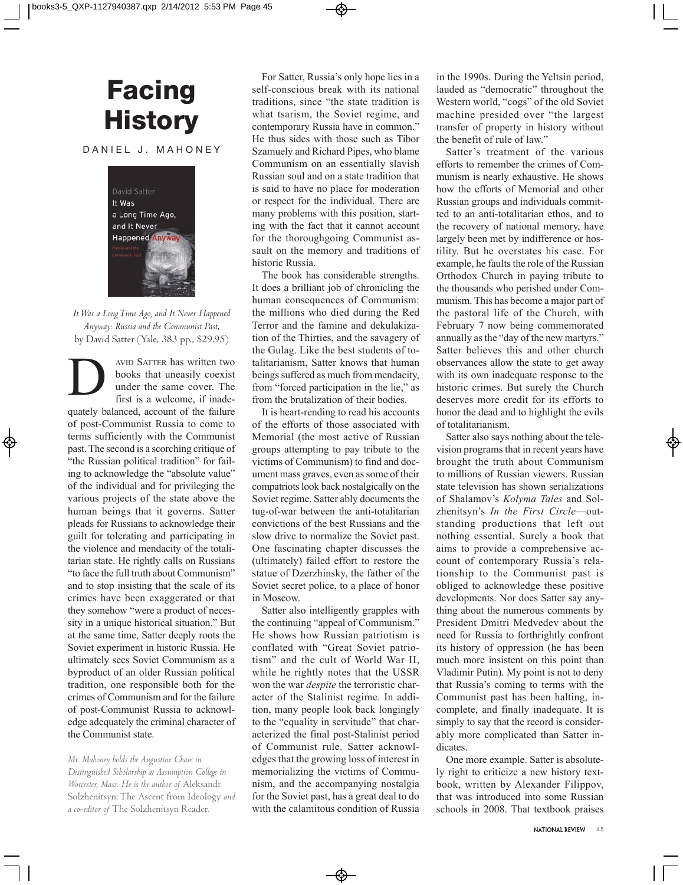## **Facing History**

#### DANIEL J. MAHONEY



*It Was a Long Time Ago, and It Never Happened Anyway: Russia and the Communist Past*, by David Satter (Yale, 383 pp., \$29.95)

AVID SATTER has written two<br>books that uneasily coexist<br>under the same cover. The<br>first is a welcome, if inadebooks that uneasily coexist under the same cover. The first is a welcome, if inadequately balanced, account of the failure of post-Communist Russia to come to terms sufficiently with the Communist past. The second is a scorching critique of "the Russian political tradition" for failing to acknowledge the "absolute value" of the individual and for privileging the various projects of the state above the human beings that it governs. Satter pleads for Russians to acknowledge their guilt for tolerating and participating in the violence and mendacity of the totalitarian state. He rightly calls on Russians "to face the full truth about Communism" and to stop insisting that the scale of its crimes have been exaggerated or that they somehow "were a product of necessity in a unique historical situation." But at the same time, Satter deeply roots the Soviet experiment in historic Russia. He ultimately sees Soviet Communism as a byproduct of an older Russian political tradition, one responsible both for the crimes of Communism and for the failure of post-Communist Russia to acknowledge adequately the criminal character of the Communist state.

*Mr. Mahoney holds the Augustine Chair in Distinguished Scholarship at Assumption College in Worcester, Mass. He is the author of* Aleksandr Solzhenitsyn: The Ascent from Ideology *and a co-editor of* The Solzhenitsyn Reader*.* 

For Satter, Russia's only hope lies in a self-conscious break with its national traditions, since "the state tradition is what tsarism, the Soviet regime, and contemporary Russia have in common." He thus sides with those such as Tibor Szamuely and Richard Pipes, who blame Communism on an essentially slavish Russian soul and on a state tradition that is said to have no place for moderation or respect for the individual. There are many problems with this position, starting with the fact that it cannot account for the thoroughgoing Communist assault on the memory and traditions of historic Russia.

The book has considerable strengths. It does a brilliant job of chronicling the human consequences of Communism: the millions who died during the Red Terror and the famine and dekulakization of the Thirties, and the savagery of the Gulag. Like the best students of totalitarianism, Satter knows that human beings suffered as much from mendacity, from "forced participation in the lie," as from the brutalization of their bodies.

It is heart-rending to read his accounts of the efforts of those associated with Memorial (the most active of Russian groups attempting to pay tribute to the victims of Communism) to find and document mass graves, even as some of their compatriots look back nostalgically on the Soviet regime. Satter ably documents the tug-of-war between the anti-totalitarian convictions of the best Russians and the slow drive to normalize the Soviet past. One fascinating chapter discusses the (ultimately) failed effort to restore the statue of Dzerzhinsky, the father of the Soviet secret police, to a place of honor in Moscow.

Satter also intelligently grapples with the continuing "appeal of Communism." He shows how Russian patriotism is conflated with "Great Soviet patriotism" and the cult of World War II, while he rightly notes that the USSR won the war *despite* the terroristic character of the Stalinist regime. In addition, many people look back longingly to the "equality in servitude" that characterized the final post-Stalinist period of Communist rule. Satter acknowledges that the growing loss of interest in memorializing the victims of Communism, and the accompanying nostalgia for the Soviet past, has a great deal to do with the calamitous condition of Russia

in the 1990s. During the Yeltsin period, lauded as "democratic" throughout the Western world, "cogs" of the old Soviet machine presided over "the largest transfer of property in history without the benefit of rule of law."

Satter's treatment of the various efforts to remember the crimes of Communism is nearly exhaustive. He shows how the efforts of Memorial and other Russian groups and individuals committed to an anti-totalitarian ethos, and to the recovery of national memory, have largely been met by indifference or hostility. But he overstates his case. For example, he faults the role of the Russian Orthodox Church in paying tribute to the thousands who perished under Communism. This has become a major part of the pastoral life of the Church, with February 7 now being commemorated annually as the "day of the new martyrs." Satter believes this and other church observances allow the state to get away with its own inadequate response to the historic crimes. But surely the Church deserves more credit for its efforts to honor the dead and to highlight the evils of totalitarianism.

Satter also says nothing about the television programs that in recent years have brought the truth about Communism to millions of Russian viewers. Russian state television has shown serializations of Shalamov's *Kolyma Tales* and Solzhenitsyn's *In the First Circle*—outstanding productions that left out nothing essential. Surely a book that aims to provide a comprehensive account of contemporary Russia's relationship to the Communist past is obliged to acknowledge these positive developments. Nor does Satter say anything about the numerous comments by President Dmitri Medvedev about the need for Russia to forthrightly confront its history of oppression (he has been much more insistent on this point than Vladimir Putin). My point is not to deny that Russia's coming to terms with the Communist past has been halting, incomplete, and finally inadequate. It is simply to say that the record is considerably more complicated than Satter indicates.

One more example. Satter is absolutely right to criticize a new history textbook, written by Alexander Filippov, that was introduced into some Russian schools in 2008. That textbook praises